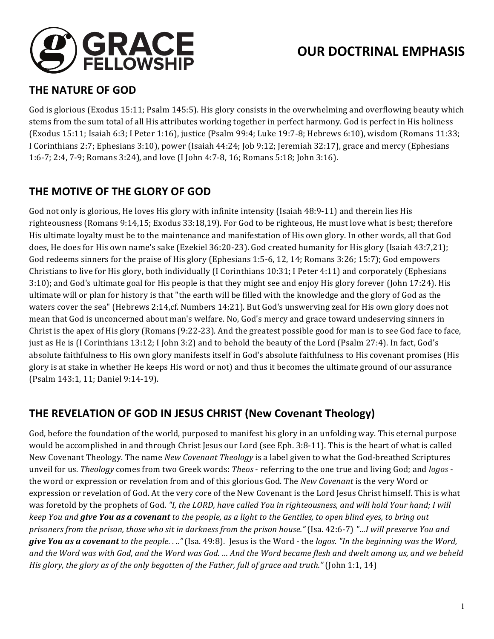

# **OUR DOCTRINAL EMPHASIS**

#### **THE NATURE OF GOD**

God is glorious (Exodus 15:11; Psalm 145:5). His glory consists in the overwhelming and overflowing beauty which stems from the sum total of all His attributes working together in perfect harmony. God is perfect in His holiness (Exodus  $15:11$ ; Isaiah 6:3; I Peter 1:16), justice (Psalm 99:4; Luke 19:7-8; Hebrews 6:10), wisdom (Romans 11:33; I Corinthians 2:7; Ephesians 3:10), power (Isaiah 44:24; Job 9:12; Jeremiah 32:17), grace and mercy (Ephesians 1:6-7; 2:4, 7-9; Romans 3:24), and love (I John 4:7-8, 16; Romans 5:18; John 3:16).

### **THE MOTIVE OF THE GLORY OF GOD**

God not only is glorious, He loves His glory with infinite intensity (Isaiah 48:9-11) and therein lies His righteousness (Romans 9:14,15; Exodus 33:18,19). For God to be righteous, He must love what is best; therefore His ultimate loyalty must be to the maintenance and manifestation of His own glory. In other words, all that God does, He does for His own name's sake (Ezekiel 36:20-23). God created humanity for His glory (Isaiah 43:7,21); God redeems sinners for the praise of His glory (Ephesians 1:5-6, 12, 14; Romans 3:26; 15:7); God empowers Christians to live for His glory, both individually (I Corinthians  $10:31$ ; I Peter  $4:11$ ) and corporately (Ephesians 3:10); and God's ultimate goal for His people is that they might see and enjoy His glory forever (John 17:24). His ultimate will or plan for history is that "the earth will be filled with the knowledge and the glory of God as the waters cover the sea" (Hebrews 2:14,cf. Numbers 14:21). But God's unswerving zeal for His own glory does not mean that God is unconcerned about man's welfare. No, God's mercy and grace toward undeserving sinners in Christ is the apex of His glory (Romans  $(9:22-23)$ . And the greatest possible good for man is to see God face to face, just as He is (I Corinthians  $13:12$ ; I John  $3:2$ ) and to behold the beauty of the Lord (Psalm 27:4). In fact, God's absolute faithfulness to His own glory manifests itself in God's absolute faithfulness to His covenant promises (His glory is at stake in whether He keeps His word or not) and thus it becomes the ultimate ground of our assurance (Psalm 143:1, 11; Daniel 9:14-19).

# **THE REVELATION OF GOD IN JESUS CHRIST (New Covenant Theology)**

God, before the foundation of the world, purposed to manifest his glory in an unfolding way. This eternal purpose would be accomplished in and through Christ Jesus our Lord (see Eph. 3:8-11). This is the heart of what is called New Covenant Theology. The name *New Covenant Theology* is a label given to what the God-breathed Scriptures unveil for us. *Theology* comes from two Greek words: *Theos* - referring to the one true and living God; and *logos* the word or expression or revelation from and of this glorious God. The *New Covenant* is the very Word or expression or revelation of God. At the very core of the New Covenant is the Lord Jesus Christ himself. This is what was foretold by the prophets of God. "I, the LORD, have called You in righteousness, and will hold Your hand; I will *keep* You and *give You as a covenant* to the people, as a light to the Gentiles, to open blind eyes, to bring out *prisoners from the prison, those who sit in darkness from the prison house."* (Isa. 42:6-7) "...I will preserve You and give You as a covenant to the people. . .." (Isa. 49:8). Jesus is the Word - the logos. "In the beginning was the Word, and the Word was with God, and the Word was God. ... And the Word became flesh and dwelt among us, and we beheld *His glory, the glory as of the only begotten of the Father, full of grace and truth."* (John 1:1, 14)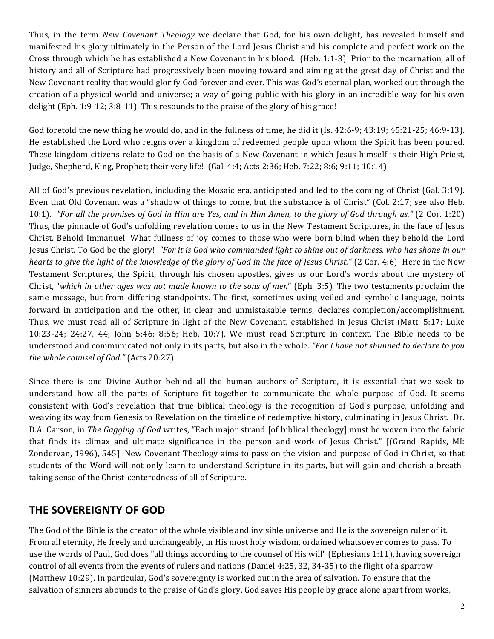Thus, in the term *New Covenant Theology* we declare that God, for his own delight, has revealed himself and manifested his glory ultimately in the Person of the Lord Jesus Christ and his complete and perfect work on the Cross through which he has established a New Covenant in his blood. (Heb. 1:1-3) Prior to the incarnation, all of history and all of Scripture had progressively been moving toward and aiming at the great day of Christ and the New Covenant reality that would glorify God forever and ever. This was God's eternal plan, worked out through the creation of a physical world and universe; a way of going public with his glory in an incredible way for his own delight  $(Eph. 1:9-12; 3:8-11)$ . This resounds to the praise of the glory of his grace!

God foretold the new thing he would do, and in the fullness of time, he did it (Is.  $42:6-9$ ;  $43:19$ ;  $45:21-25$ ;  $46:9-13$ ). He established the Lord who reigns over a kingdom of redeemed people upon whom the Spirit has been poured. These kingdom citizens relate to God on the basis of a New Covenant in which Jesus himself is their High Priest, Judge, Shepherd, King, Prophet; their very life! (Gal. 4:4; Acts 2:36; Heb. 7:22; 8:6; 9:11; 10:14)

All of God's previous revelation, including the Mosaic era, anticipated and led to the coming of Christ (Gal. 3:19). Even that Old Covenant was a "shadow of things to come, but the substance is of Christ" (Col. 2:17; see also Heb. 10:1). *"For all the promises of God in Him are Yes, and in Him Amen, to the glory of God through us."* (2 Cor. 1:20) Thus, the pinnacle of God's unfolding revelation comes to us in the New Testament Scriptures, in the face of Jesus Christ. Behold Immanuel! What fullness of joy comes to those who were born blind when they behold the Lord Jesus Christ. To God be the glory! *"For it is God who commanded light to shine out of darkness, who has shone in our hearts to give the light of the knowledge of the glory of God in the face of Jesus Christ."* (2 Cor. 4:6) Here in the New Testament Scriptures, the Spirit, through his chosen apostles, gives us our Lord's words about the mystery of Christ, "which in other ages was not made known to the sons of men" (Eph. 3:5). The two testaments proclaim the same message, but from differing standpoints. The first, sometimes using veiled and symbolic language, points forward in anticipation and the other, in clear and unmistakable terms, declares completion/accomplishment. Thus, we must read all of Scripture in light of the New Covenant, established in Jesus Christ (Matt. 5:17; Luke  $10:23-24$ ;  $24:27$ ,  $44$ ; John  $5:46$ ;  $8:56$ ; Heb.  $10:7$ ). We must read Scripture in context. The Bible needs to be understood and communicated not only in its parts, but also in the whole. "For I have not shunned to declare to you *the whole counsel of God."* (Acts 20:27)

Since there is one Divine Author behind all the human authors of Scripture, it is essential that we seek to understand how all the parts of Scripture fit together to communicate the whole purpose of God. It seems consistent with God's revelation that true biblical theology is the recognition of God's purpose, unfolding and weaving its way from Genesis to Revelation on the timeline of redemptive history, culminating in Jesus Christ. Dr. D.A. Carson, in *The Gagging of God* writes, "Each major strand [of biblical theology] must be woven into the fabric that finds its climax and ultimate significance in the person and work of Jesus Christ." [(Grand Rapids, MI: Zondervan, 1996), 545] New Covenant Theology aims to pass on the vision and purpose of God in Christ, so that students of the Word will not only learn to understand Scripture in its parts, but will gain and cherish a breathtaking sense of the Christ-centeredness of all of Scripture.

#### **THE SOVEREIGNTY OF GOD**

The God of the Bible is the creator of the whole visible and invisible universe and He is the sovereign ruler of it. From all eternity, He freely and unchangeably, in His most holy wisdom, ordained whatsoever comes to pass. To use the words of Paul, God does "all things according to the counsel of His will" (Ephesians 1:11), having sovereign control of all events from the events of rulers and nations (Daniel  $4:25, 32, 34-35$ ) to the flight of a sparrow (Matthew 10:29). In particular, God's sovereignty is worked out in the area of salvation. To ensure that the salvation of sinners abounds to the praise of God's glory, God saves His people by grace alone apart from works,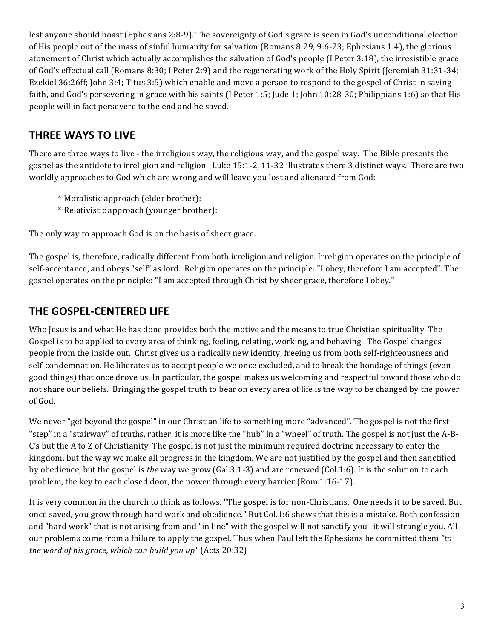lest anyone should boast (Ephesians 2:8-9). The sovereignty of God's grace is seen in God's unconditional election of His people out of the mass of sinful humanity for salvation (Romans 8:29, 9:6-23; Ephesians 1:4), the glorious atonement of Christ which actually accomplishes the salvation of God's people  $(I$  Peter 3:18), the irresistible grace of God's effectual call (Romans 8:30; I Peter 2:9) and the regenerating work of the Holy Spirit (Jeremiah 31:31-34; Ezekiel 36:26ff; John 3:4; Titus 3:5) which enable and move a person to respond to the gospel of Christ in saving faith, and God's persevering in grace with his saints (I Peter 1:5; Jude 1; John 10:28-30; Philippians 1:6) so that His people will in fact persevere to the end and be saved.

# **THREE WAYS TO LIVE**

There are three ways to live - the irreligious way, the religious way, and the gospel way. The Bible presents the gospel as the antidote to irreligion and religion. Luke 15:1-2, 11-32 illustrates there 3 distinct ways. There are two worldly approaches to God which are wrong and will leave you lost and alienated from God:

- \* Moralistic approach (elder brother):
- \* Relativistic approach (younger brother):

The only way to approach God is on the basis of sheer grace.

The gospel is, therefore, radically different from both irreligion and religion. Irreligion operates on the principle of self-acceptance, and obeys "self" as lord. Religion operates on the principle: "I obey, therefore I am accepted". The gospel operates on the principle: "I am accepted through Christ by sheer grace, therefore I obey."

# **THE GOSPEL-CENTERED LIFE**

Who Jesus is and what He has done provides both the motive and the means to true Christian spirituality. The Gospel is to be applied to every area of thinking, feeling, relating, working, and behaving. The Gospel changes people from the inside out. Christ gives us a radically new identity, freeing us from both self-righteousness and self-condemnation. He liberates us to accept people we once excluded, and to break the bondage of things (even good things) that once drove us. In particular, the gospel makes us welcoming and respectful toward those who do not share our beliefs. Bringing the gospel truth to bear on every area of life is the way to be changed by the power of God.

We never "get beyond the gospel" in our Christian life to something more "advanced". The gospel is not the first "step" in a "stairway" of truths, rather, it is more like the "hub" in a "wheel" of truth. The gospel is not just the A-B- $C$ 's but the A to Z of Christianity. The gospel is not just the minimum required doctrine necessary to enter the kingdom, but the way we make all progress in the kingdom. We are not justified by the gospel and then sanctified by obedience, but the gospel is *the* way we grow (Gal.3:1-3) and are renewed (Col.1:6). It is the solution to each problem, the key to each closed door, the power through every barrier (Rom.1:16-17).

It is very common in the church to think as follows. "The gospel is for non-Christians. One needs it to be saved. But once saved, you grow through hard work and obedience." But Col.1:6 shows that this is a mistake. Both confession and "hard work" that is not arising from and "in line" with the gospel will not sanctify you--it will strangle you. All our problems come from a failure to apply the gospel. Thus when Paul left the Ephesians he committed them "to *the word of his grace, which can build you up"* (Acts 20:32)